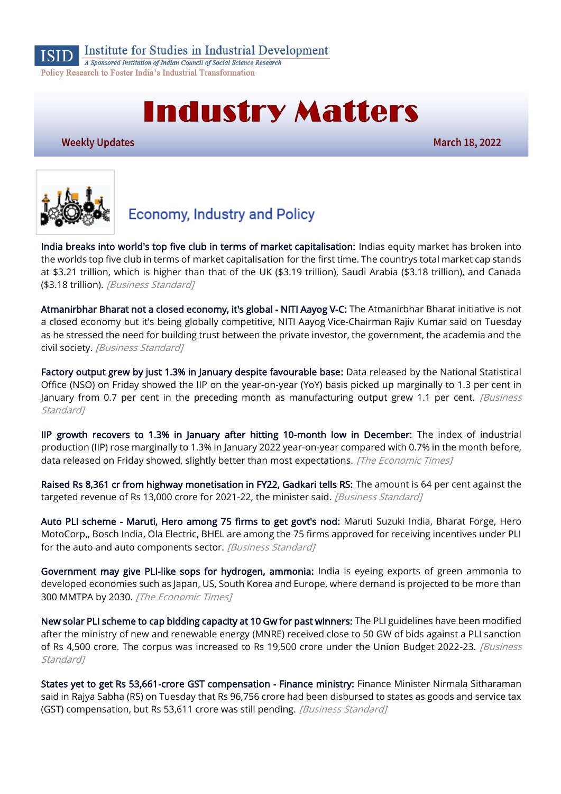

Institute for Studies in Industrial Development

A Sponsored Institution of Indian Council of Social Science Research Policy Research to Foster India's Industrial Transformation

# **Industry Matters**

**Weekly Updates** 

March 18, 2022



# **Economy, Industry and Policy**

[India breaks into world's top five club in terms of market capitalisation:](https://www.business-standard.com/article/markets/india-breaks-into-world-s-top-five-club-in-terms-of-market-capitalisation-122031200004_1.html) Indias equity market has broken into the worlds top five club in terms of market capitalisation for the first time. The countrys total market cap stands at \$3.21 trillion, which is higher than that of the UK (\$3.19 trillion), Saudi Arabia (\$3.18 trillion), and Canada (\$3.18 trillion). [Business Standard]

[Atmanirbhar Bharat not a closed economy, it's global - NITI Aayog V-C:](https://www.business-standard.com/article/economy-policy/atmanirbhar-bharat-not-a-closed-economy-it-s-global-niti-aayog-v-c-122031600056_1.html) The Atmanirbhar Bharat initiative is not a closed economy but it's being globally competitive, NITI Aayog Vice-Chairman Rajiv Kumar said on Tuesday as he stressed the need for building trust between the private investor, the government, the academia and the civil society. [Business Standard]

[Factory output grew by just 1.3% in January despite favourable base:](https://www.business-standard.com/article/economy-policy/factory-output-grew-by-just-1-3-in-january-despite-favourable-base-122031100904_1.html) Data released by the National Statistical Office (NSO) on Friday showed the IIP on the year-on-year (YoY) basis picked up marginally to 1.3 per cent in January from 0.7 per cent in the preceding month as manufacturing output grew 1.1 per cent. *[Business* Standard<sub>1</sub>

[IIP growth recovers to 1.3% in January after hitting 10-month low in December:](https://economictimes.indiatimes.com/news/economy/indicators/iip-recovers-to-1-3-in-january-after-hitting-10-month-low-in-december/articleshow/90152996.cms) The index of industrial production (IIP) rose marginally to 1.3% in January 2022 year-on-year compared with 0.7% in the month before, data released on Friday showed, slightly better than most expectations. [The Economic Times]

[Raised Rs 8,361 cr from highway monetisation in FY22, Gadkari tells RS:](https://www.business-standard.com/article/economy-policy/raised-rs-8-361-cr-from-highway-monetisation-in-fy22-gadkari-tells-rs-122031601494_1.html) The amount is 64 per cent against the targeted revenue of Rs 13,000 crore for 2021-22, the minister said. [Business Standard]

[Auto PLI scheme - Maruti, Hero among 75 firms to get govt's nod:](https://www.business-standard.com/article/economy-policy/auto-pli-scheme-investment-proposals-overshoots-target-122031501328_1.html) Maruti Suzuki India, Bharat Forge, Hero MotoCorp,, Bosch India, Ola Electric, BHEL are among the 75 firms approved for receiving incentives under PLI for the auto and auto components sector. [Business Standard]

[Government may give PLI-like sops for hydrogen, ammonia:](https://economictimes.indiatimes.com/industry/renewables/government-may-give-pli-like-sops-for-hydrogen-ammonia/articleshow/90189649.cms) India is eyeing exports of green ammonia to developed economies such as Japan, US, South Korea and Europe, where demand is projected to be more than 300 MMTPA by 2030. [The Economic Times]

[New solar PLI scheme to cap bidding capacity at 10 Gw for past winners:](https://www.business-standard.com/article/economy-policy/new-solar-pli-scheme-to-cap-bidding-capacity-at-10-gw-for-past-winners-122031001352_1.html) The PLI guidelines have been modified after the ministry of new and renewable energy (MNRE) received close to 50 GW of bids against a PLI sanction of Rs 4,500 crore. The corpus was increased to Rs 19,500 crore under the Union Budget 2022-23. [Business Standard<sub>1</sub>

[States yet to get Rs 53,661-crore GST compensation - Finance ministry:](https://www.business-standard.com/article/economy-policy/states-yet-to-get-rs-53-661-crore-gst-compensation-finance-ministry-122031600039_1.html) Finance Minister Nirmala Sitharaman said in Rajya Sabha (RS) on Tuesday that Rs 96,756 crore had been disbursed to states as goods and service tax (GST) compensation, but Rs 53,611 crore was still pending. [Business Standard]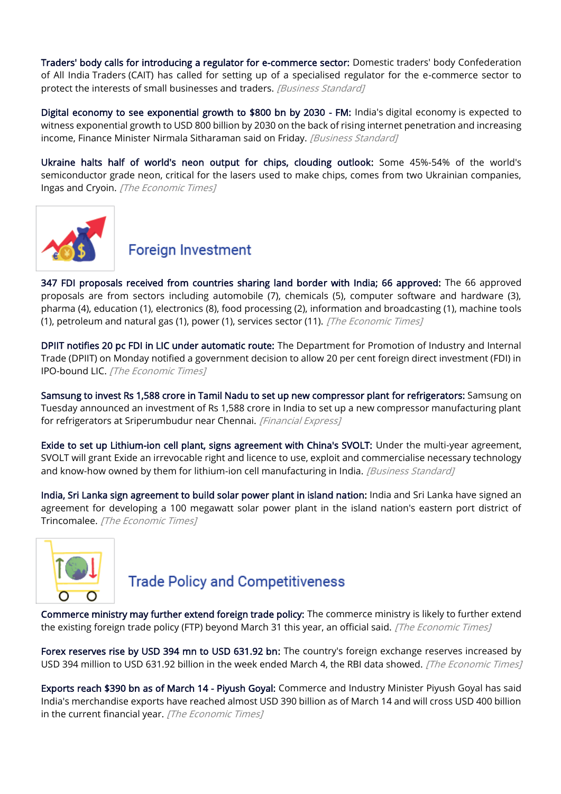[Traders' body calls for introducing a regulator for e-commerce sector:](https://www.business-standard.com/article/economy-policy/traders-body-calls-for-introducing-a-regulator-for-e-commerce-sector-122031500896_1.html) Domestic traders' body Confederation of All India Traders (CAIT) has called for setting up of a specialised regulator for the e-commerce sector to protect the interests of small businesses and traders. [Business Standard]

[Digital economy to see exponential growth to \\$800 bn by 2030 - FM:](https://www.business-standard.com/article/economy-policy/digital-economy-to-see-exponential-growth-to-800-bn-by-2030-fm-122031101141_1.html) India's digital economy is expected to witness exponential growth to USD 800 billion by 2030 on the back of rising internet penetration and increasing income, Finance Minister Nirmala Sitharaman said on Friday. [Business Standard]

[Ukraine halts half of world's neon output for chips, clouding outlook:](https://economictimes.indiatimes.com/news/international/business/ukraine-halts-half-of-worlds-neon-output-for-chips-clouding-outlook/articleshow/90153722.cms?utm_source=ETTopNews&utm_medium=HP&utm_campaign=TN&utm_content=23) Some 45%-54% of the world's semiconductor grade neon, critical for the lasers used to make chips, comes from two Ukrainian companies, Ingas and Cryoin. [The Economic Times]



# **Foreign Investment**

[347 FDI proposals received from countries sharing land border with India; 66 approved:](https://economictimes.indiatimes.com/news/economy/finance/347-fdi-proposals-received-from-countries-sharing-land-border-with-india-66-approved/articleshow/90268118.cms) The 66 approved proposals are from sectors including automobile (7), chemicals (5), computer software and hardware (3), pharma (4), education (1), electronics (8), food processing (2), information and broadcasting (1), machine tools (1), petroleum and natural gas (1), power (1), services sector (11). [The Economic Times]

[DPIIT notifies 20 pc FDI in LIC under automatic route:](https://economictimes.indiatimes.com/news/economy/policy/dpiit-notifies-20-pc-fdi-in-lic-under-automatic-route/articleshow/90209009.cms) The Department for Promotion of Industry and Internal Trade (DPIIT) on Monday notified a government decision to allow 20 per cent foreign direct investment (FDI) in IPO-bound LIC. [The Economic Times]

[Samsung to invest Rs 1,588 crore in Tamil Nadu to set up new compressor plant for refrigerators:](https://www.financialexpress.com/industry/samsung-to-invest-rs-1588-crore-in-tamil-nadu-to-set-up-new-compressor-plant-for-refrigerators/2462009/) Samsung on Tuesday announced an investment of Rs 1,588 crore in India to set up a new compressor manufacturing plant for refrigerators at Sriperumbudur near Chennai. [Financial Express]

[Exide to set up Lithium-ion cell plant, signs agreement with China's SVOLT:](https://www.business-standard.com/article/companies/exide-to-set-up-lithium-ion-cell-plant-signs-agreement-with-china-s-svolt-122031000734_1.html) Under the multi-year agreement, SVOLT will grant Exide an irrevocable right and licence to use, exploit and commercialise necessary technology and know-how owned by them for lithium-ion cell manufacturing in India. [Business Standard]

[India, Sri Lanka sign agreement to build solar power plant in island nation:](https://economictimes.indiatimes.com/industry/renewables/india-sri-lanka-sign-agreement-to-build-solar-power-plant-in-island-nation/articleshow/90167856.cms) India and Sri Lanka have signed an agreement for developing a 100 megawatt solar power plant in the island nation's eastern port district of Trincomalee. [The Economic Times]



# **Trade Policy and Competitiveness**

[Commerce ministry may further extend foreign trade policy:](https://economictimes.indiatimes.com/news/economy/foreign-trade/commerce-ministry-may-further-extend-foreign-trade-policy/articleshow/90273456.cms) The commerce ministry is likely to further extend the existing foreign trade policy (FTP) beyond March 31 this year, an official said. [The Economic Times]

[Forex reserves rise by USD 394 mn to USD 631.92 bn:](https://economictimes.indiatimes.com/news/economy/indicators/forex-reserves-rise-by-usd-394-mn-to-usd-631-92-bn/articleshow/90153983.cms?utm_source=ETTopNews&utm_medium=HP&utm_campaign=TN&utm_content=23) The country's foreign exchange reserves increased by USD 394 million to USD 631.92 billion in the week ended March 4, the RBI data showed. [The Economic Times]

[Exports reach \\$390 bn as of March 14 - Piyush Goyal:](https://economictimes.indiatimes.com/news/economy/foreign-trade/export-reaches-390-bn-as-of-march-14-piyush-goyal/articleshow/90289489.cms) Commerce and Industry Minister Piyush Goyal has said India's merchandise exports have reached almost USD 390 billion as of March 14 and will cross USD 400 billion in the current financial year. [The Economic Times]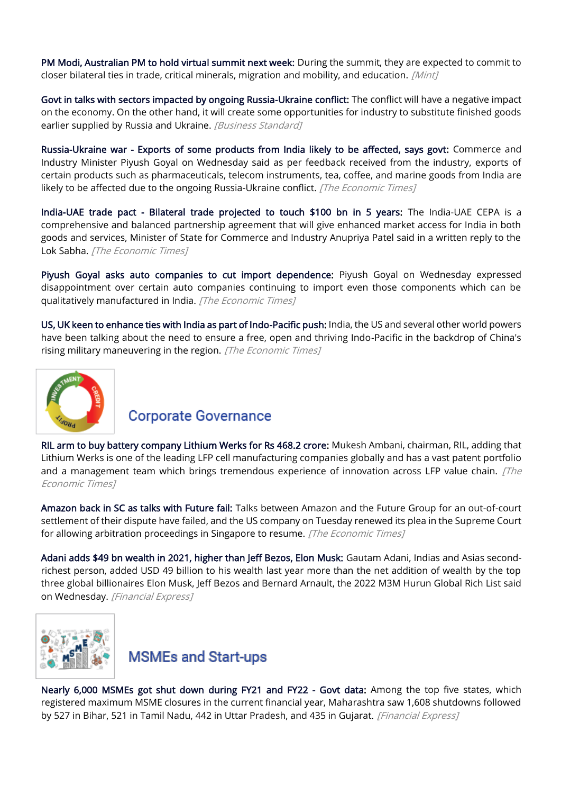[PM Modi, Australian PM to hold virtual summit next week:](https://www.livemint.com/news/india/pm-modi-australian-pm-to-hold-virtual-summit-next-week-details-here-11647531453622.html) During the summit, they are expected to commit to closer bilateral ties in trade, critical minerals, migration and mobility, and education. [Mint]

[Govt in talks with sectors impacted by ongoing Russia-Ukraine conflict:](https://www.business-standard.com/article/economy-policy/govt-in-talks-with-sectors-impacted-by-ongoing-russia-ukraine-conflict-122031200003_1.html) The conflict will have a negative impact on the economy. On the other hand, it will create some opportunities for industry to substitute finished goods earlier supplied by Russia and Ukraine. [Business Standard]

[Russia-Ukraine war - Exports of some products from India likely to be affected, says govt:](https://economictimes.indiatimes.com/news/economy/foreign-trade/russia-ukraine-war-exports-of-some-products-from-india-likely-to-be-affected-says-govt/articleshow/90272748.cms) Commerce and Industry Minister Piyush Goyal on Wednesday said as per feedback received from the industry, exports of certain products such as pharmaceuticals, telecom instruments, tea, coffee, and marine goods from India are likely to be affected due to the ongoing Russia-Ukraine conflict. [The Economic Times]

[India-UAE trade pact - Bilateral trade projected to touch \\$100 bn in 5 years:](https://economictimes.indiatimes.com/news/economy/foreign-trade/india-uae-trade-pact-bilateral-trade-projected-to-touch-100-bn-in-5-years/articleshow/90271411.cms) The India-UAE CEPA is a comprehensive and balanced partnership agreement that will give enhanced market access for India in both goods and services, Minister of State for Commerce and Industry Anupriya Patel said in a written reply to the Lok Sabha. [The Economic Times]

[Piyush Goyal asks auto companies to cut import dependence:](https://economictimes.indiatimes.com/industry/auto/auto-news/piyush-goyal-asks-auto-companies-to-cut-import-dependence/articleshow/90278125.cms) Piyush Goyal on Wednesday expressed disappointment over certain auto companies continuing to import even those components which can be qualitatively manufactured in India. [The Economic Times]

[US, UK keen to enhance ties with India as part of Indo-Pacific push:](https://economictimes.indiatimes.com/news/defence/us-uk-keen-to-enhance-ties-with-india-as-part-of-indo-pacific-push/articleshow/90157315.cms) India, the US and several other world powers have been talking about the need to ensure a free, open and thriving Indo-Pacific in the backdrop of China's rising military maneuvering in the region. [The Economic Times]



# **Corporate Governance**

[RIL arm to buy battery company Lithium Werks for Rs 468.2 crore:](https://economictimes.indiatimes.com/markets/companies/ril-arm-to-buy-battery-company-lithium-werks-for-rs-468-2-crore/articleshow/90213717.cms) Mukesh Ambani, chairman, RIL, adding that Lithium Werks is one of the leading LFP cell manufacturing companies globally and has a vast patent portfolio and a management team which brings tremendous experience of innovation across LFP value chain.  $\int$ The Economic Times]

[Amazon back in SC as talks with Future fail:](https://economictimes.indiatimes.com/industry/services/retail/amazon-back-in-sc-as-talks-with-future-fail/articleshow/90245460.cms) Talks between Amazon and the Future Group for an out-of-court settlement of their dispute have failed, and the US company on Tuesday renewed its plea in the Supreme Court for allowing arbitration proceedings in Singapore to resume. [The Economic Times]

[Adani adds \\$49 bn wealth in 2021, higher than Jeff Bezos, Elon Musk:](https://www.financialexpress.com/industry/adani-adds-49-bn-wealth-in-2021-higher-than-jeff-bezos-elon-musk/2463130/) Gautam Adani, Indias and Asias secondrichest person, added USD 49 billion to his wealth last year more than the net addition of wealth by the top three global billionaires Elon Musk, Jeff Bezos and Bernard Arnault, the 2022 M3M Hurun Global Rich List said on Wednesday. [Financial Express]



#### **MSMEs and Start-ups**

[Nearly 6,000 MSMEs got shut down during FY21 and FY22 - Govt data:](https://www.financialexpress.com/industry/sme/msme-eodb-nearly-6000-msmes-got-shut-down-during-fy21-and-fy22-govt-data/2461592/) Among the top five states, which registered maximum MSME closures in the current financial year, Maharashtra saw 1,608 shutdowns followed by 527 in Bihar, 521 in Tamil Nadu, 442 in Uttar Pradesh, and 435 in Gujarat. [Financial Express]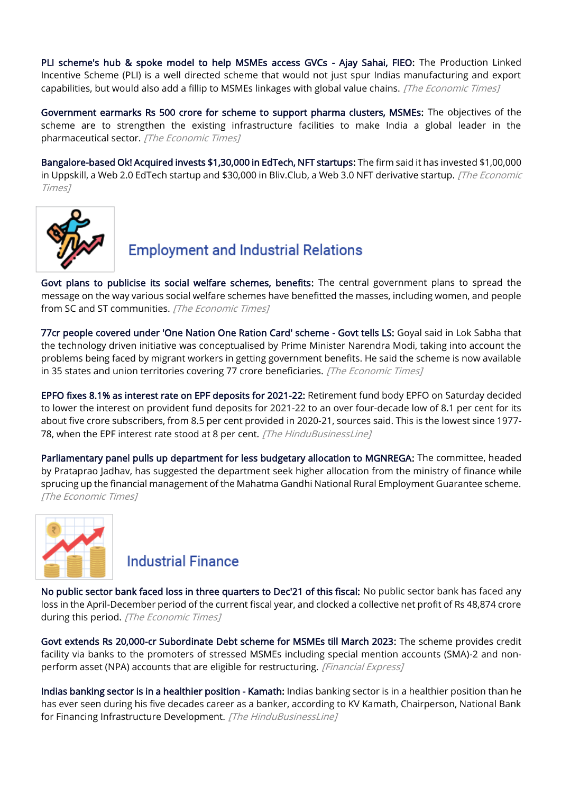[PLI scheme's hub & spoke model to help MSMEs access GVCs - Ajay Sahai, FIEO:](https://economictimes.indiatimes.com/small-biz/sme-sector/pli-schemes-hub-spoke-model-to-help-msmes-access-gvcs-ajay-sahai-fieo/articleshow/90266235.cms) The Production Linked Incentive Scheme (PLI) is a well directed scheme that would not just spur Indias manufacturing and export capabilities, but would also add a fillip to MSMEs linkages with global value chains. [The Economic Times]

[Government earmarks Rs 500 crore for scheme to support pharma clusters, MSMEs:](https://economictimes.indiatimes.com/industry/healthcare/biotech/pharmaceuticals/government-earmarks-rs-500-crore-for-scheme-to-support-pharma-clusters-msmes/articleshow/90157345.cms) The objectives of the scheme are to strengthen the existing infrastructure facilities to make India a global leader in the pharmaceutical sector. [The Economic Times]

[Bangalore-based Ok! Acquired invests \\$1,30,000 in EdTech, NFT startups:](https://economictimes.indiatimes.com/tech/funding/bangalore-based-ok-acquired-invests-115000-in-edtech-nft-startup/articleshow/90269218.cms) The firm said it has invested \$1,00,000 in Uppskill, a Web 2.0 EdTech startup and \$30,000 in Bliv.Club, a Web 3.0 NFT derivative startup. [The Economic Times]



# **Employment and Industrial Relations**

[Govt plans to publicise its social welfare schemes, benefits:](https://economictimes.indiatimes.com/news/economy/policy/govt-plans-to-publicise-its-social-welfare-schemes-benefits/articleshow/90184657.cms) The central government plans to spread the message on the way various social welfare schemes have benefitted the masses, including women, and people from SC and ST communities. [The Economic Times]

[77cr people covered under 'One Nation One Ration Card' scheme - Govt tells LS:](https://economictimes.indiatimes.com/news/india/77cr-people-covered-under-one-nation-one-ration-card-scheme-govt-tells-ls/articleshow/90261498.cms) Goyal said in Lok Sabha that the technology driven initiative was conceptualised by Prime Minister Narendra Modi, taking into account the problems being faced by migrant workers in getting government benefits. He said the scheme is now available in 35 states and union territories covering 77 crore beneficiaries. [The Economic Times]

[EPFO fixes 8.1% as interest rate on EPF deposits for 2021-22:](https://www.thehindubusinessline.com/economy/epfo-fixes-81-as-interest-rate-on-epf-deposits-for-2021-22/article65217084.ece) Retirement fund body EPFO on Saturday decided to lower the interest on provident fund deposits for 2021-22 to an over four-decade low of 8.1 per cent for its about five crore subscribers, from 8.5 per cent provided in 2020-21, sources said. This is the lowest since 1977- 78, when the EPF interest rate stood at 8 per cent. [The HinduBusinessLine]

[Parliamentary panel pulls up department for less budgetary allocation to MGNREGA:](https://economictimes.indiatimes.com/news/india/parliamentary-panel-pulls-up-department-for-less-budgetary-allocation-to-mgnrega/articleshow/90269293.cms) The committee, headed by Prataprao Jadhav, has suggested the department seek higher allocation from the ministry of finance while sprucing up the financial management of the Mahatma Gandhi National Rural Employment Guarantee scheme. [The Economic Times]



#### **Industrial Finance**

[No public sector bank faced loss in three quarters to Dec'21 of this fiscal:](https://economictimes.indiatimes.com/news/economy/finance/no-public-sector-bank-faced-loss-in-three-quarters-to-dec21-of-this-fiscal/articleshow/90227057.cms) No public sector bank has faced any loss in the April-December period of the current fiscal year, and clocked a collective net profit of Rs 48,874 crore during this period. [The Economic Times]

[Govt extends Rs 20,000-cr Subordinate Debt scheme for MSMEs till March 2023:](https://www.financialexpress.com/industry/sme/msme-fin-govt-extends-rs-20000-cr-subordinate-debt-scheme-for-msmes-till-march-2023/2460596/) The scheme provides credit facility via banks to the promoters of stressed MSMEs including special mention accounts (SMA)-2 and nonperform asset (NPA) accounts that are eligible for restructuring. [Financial Express]

[Indias banking sector is in a healthier position - Kamath:](https://www.thehindubusinessline.com/money-and-banking/indias-banking-sector-is-in-a-healthier-position-kamath/article65228130.ece) Indias banking sector is in a healthier position than he has ever seen during his five decades career as a banker, according to KV Kamath, Chairperson, National Bank for Financing Infrastructure Development. [The HinduBusinessLine]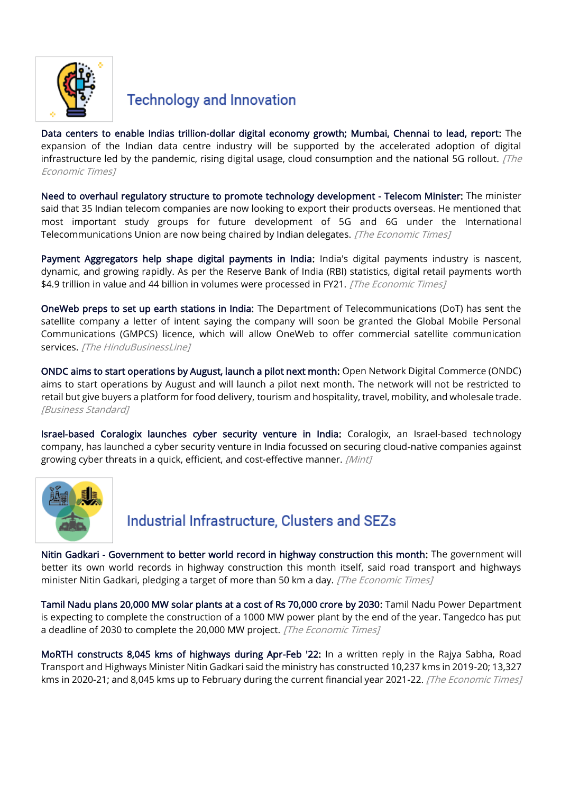

# **Technology and Innovation**

[Data centers to enable Indias trillion-dollar digital economy growth; Mumbai, Chennai to lead, report:](https://economictimes.indiatimes.com/news/economy/finance/data-centers-to-enable-indias-trillion-dollar-digital-economy-growth-mumbai-chennai-to-lead-report/articleshow/90217868.cms) The expansion of the Indian data centre industry will be supported by the accelerated adoption of digital infrastructure led by the pandemic, rising digital usage, cloud consumption and the national 5G rollout.  $[The$ Economic Times]

[Need to overhaul regulatory structure to promote technology development - Telecom Minister:](https://economictimes.indiatimes.com/industry/telecom/telecom-policy/need-to-overhaul-regulatory-structure-to-promote-technology-development-telecom-minister/articleshow/90185071.cms) The minister said that 35 Indian telecom companies are now looking to export their products overseas. He mentioned that most important study groups for future development of 5G and 6G under the International Telecommunications Union are now being chaired by Indian delegates. [The Economic Times]

[Payment Aggregators help shape digital payments in India:](https://economictimes.indiatimes.com/industry/banking/finance/banking/payment-aggregators-help-shape-digital-payments-in-india/articleshow/90258444.cms) India's digital payments industry is nascent, dynamic, and growing rapidly. As per the Reserve Bank of India (RBI) statistics, digital retail payments worth \$4.9 trillion in value and 44 billion in volumes were processed in FY21. [The Economic Times]

[OneWeb preps to set up earth stations in India:](https://www.thehindubusinessline.com/todays-paper/tp-news/oneweb-preps-to-set-up-earth-stations-in-india/article65232433.ece) The Department of Telecommunications (DoT) has sent the satellite company a letter of intent saying the company will soon be granted the Global Mobile Personal Communications (GMPCS) licence, which will allow OneWeb to offer commercial satellite communication services. [The HinduBusinessLine]

[ONDC aims to start operations by August, launch a pilot next month:](https://www.business-standard.com/article/companies/ondc-aims-to-start-operations-by-august-launch-a-pilot-next-month-122031100014_1.html) Open Network Digital Commerce (ONDC) aims to start operations by August and will launch a pilot next month. The network will not be restricted to retail but give buyers a platform for food delivery, tourism and hospitality, travel, mobility, and wholesale trade. [Business Standard]

[Israel-based Coralogix launches cyber security venture in India:](https://www.livemint.com/companies/news/israelbased-coralogix-launches-cyber-security-venture-in-india-11647412160796.html) Coralogix, an Israel-based technology company, has launched a cyber security venture in India focussed on securing cloud-native companies against growing cyber threats in a quick, efficient, and cost-effective manner. [Mint]



# Industrial Infrastructure, Clusters and SEZs

[Nitin Gadkari - Government to better world record in highway construction this month:](https://economictimes.indiatimes.com/news/economy/infrastructure/nitin-gadkari-government-to-better-world-record-in-highway-construction-this-month/articleshow/90178375.cms) The government will better its own world records in highway construction this month itself, said road transport and highways minister Nitin Gadkari, pledging a target of more than 50 km a day. [The Economic Times]

[Tamil Nadu plans 20,000 MW solar plants at a cost of Rs 70,000 crore by 2030:](https://economictimes.indiatimes.com/industry/renewables/tamil-nadu-plans-20000-mw-solar-plants-at-a-cost-of-rs-70000-crore-by-2030/articleshow/90179843.cms) Tamil Nadu Power Department is expecting to complete the construction of a 1000 MW power plant by the end of the year. Tangedco has put a deadline of 2030 to complete the 20,000 MW project. [The Economic Times]

[MoRTH constructs 8,045 kms of highways during Apr-Feb '22:](https://economictimes.indiatimes.com/industry/transportation/roadways/morth-constructs-8045-kms-of-highways-during-apr-feb-22/articleshow/90272374.cms) In a written reply in the Rajya Sabha, Road Transport and Highways Minister Nitin Gadkari said the ministry has constructed 10,237 kms in 2019-20; 13,327 kms in 2020-21; and 8,045 kms up to February during the current financial year 2021-22. [The Economic Times]